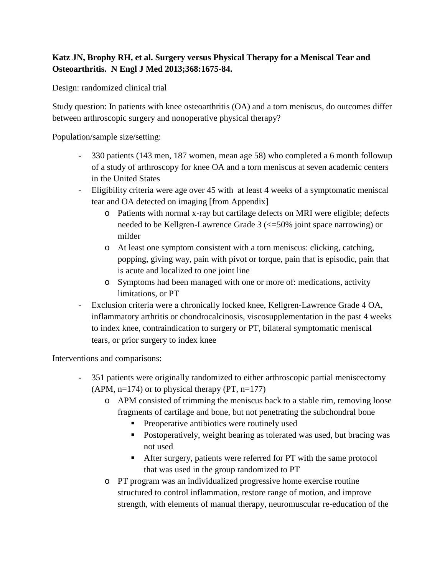## **Katz JN, Brophy RH, et al. Surgery versus Physical Therapy for a Meniscal Tear and Osteoarthritis. N Engl J Med 2013;368:1675-84.**

Design: randomized clinical trial

Study question: In patients with knee osteoarthritis (OA) and a torn meniscus, do outcomes differ between arthroscopic surgery and nonoperative physical therapy?

Population/sample size/setting:

- 330 patients (143 men, 187 women, mean age 58) who completed a 6 month followup of a study of arthroscopy for knee OA and a torn meniscus at seven academic centers in the United States
- Eligibility criteria were age over 45 with at least 4 weeks of a symptomatic meniscal tear and OA detected on imaging [from Appendix]
	- o Patients with normal x-ray but cartilage defects on MRI were eligible; defects needed to be Kellgren-Lawrence Grade 3 (<=50% joint space narrowing) or milder
	- o At least one symptom consistent with a torn meniscus: clicking, catching, popping, giving way, pain with pivot or torque, pain that is episodic, pain that is acute and localized to one joint line
	- o Symptoms had been managed with one or more of: medications, activity limitations, or PT
- Exclusion criteria were a chronically locked knee, Kellgren-Lawrence Grade 4 OA, inflammatory arthritis or chondrocalcinosis, viscosupplementation in the past 4 weeks to index knee, contraindication to surgery or PT, bilateral symptomatic meniscal tears, or prior surgery to index knee

Interventions and comparisons:

- 351 patients were originally randomized to either arthroscopic partial meniscectomy  $(APM, n=174)$  or to physical therapy  $(PT, n=177)$ 
	- o APM consisted of trimming the meniscus back to a stable rim, removing loose fragments of cartilage and bone, but not penetrating the subchondral bone
		- **Preoperative antibiotics were routinely used**
		- Postoperatively, weight bearing as tolerated was used, but bracing was not used
		- After surgery, patients were referred for PT with the same protocol that was used in the group randomized to PT
	- o PT program was an individualized progressive home exercise routine structured to control inflammation, restore range of motion, and improve strength, with elements of manual therapy, neuromuscular re-education of the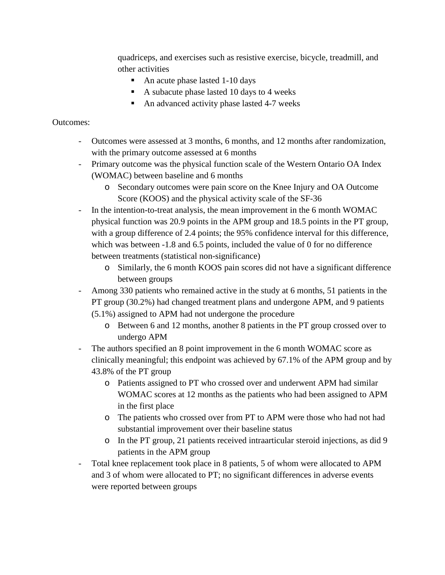quadriceps, and exercises such as resistive exercise, bicycle, treadmill, and other activities

- An acute phase lasted 1-10 days
- A subacute phase lasted 10 days to 4 weeks
- An advanced activity phase lasted 4-7 weeks

## Outcomes:

- Outcomes were assessed at 3 months, 6 months, and 12 months after randomization, with the primary outcome assessed at 6 months
- Primary outcome was the physical function scale of the Western Ontario OA Index (WOMAC) between baseline and 6 months
	- o Secondary outcomes were pain score on the Knee Injury and OA Outcome Score (KOOS) and the physical activity scale of the SF-36
- In the intention-to-treat analysis, the mean improvement in the 6 month WOMAC physical function was 20.9 points in the APM group and 18.5 points in the PT group, with a group difference of 2.4 points; the 95% confidence interval for this difference, which was between -1.8 and 6.5 points, included the value of 0 for no difference between treatments (statistical non-significance)
	- o Similarly, the 6 month KOOS pain scores did not have a significant difference between groups
- Among 330 patients who remained active in the study at 6 months, 51 patients in the PT group (30.2%) had changed treatment plans and undergone APM, and 9 patients (5.1%) assigned to APM had not undergone the procedure
	- o Between 6 and 12 months, another 8 patients in the PT group crossed over to undergo APM
- The authors specified an 8 point improvement in the 6 month WOMAC score as clinically meaningful; this endpoint was achieved by 67.1% of the APM group and by 43.8% of the PT group
	- o Patients assigned to PT who crossed over and underwent APM had similar WOMAC scores at 12 months as the patients who had been assigned to APM in the first place
	- o The patients who crossed over from PT to APM were those who had not had substantial improvement over their baseline status
	- o In the PT group, 21 patients received intraarticular steroid injections, as did 9 patients in the APM group
- Total knee replacement took place in 8 patients, 5 of whom were allocated to APM and 3 of whom were allocated to PT; no significant differences in adverse events were reported between groups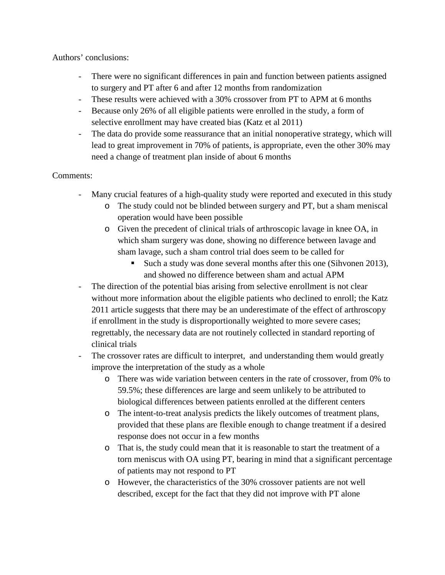Authors' conclusions:

- There were no significant differences in pain and function between patients assigned to surgery and PT after 6 and after 12 months from randomization
- These results were achieved with a 30% crossover from PT to APM at 6 months
- Because only 26% of all eligible patients were enrolled in the study, a form of selective enrollment may have created bias (Katz et al 2011)
- The data do provide some reassurance that an initial nonoperative strategy, which will lead to great improvement in 70% of patients, is appropriate, even the other 30% may need a change of treatment plan inside of about 6 months

## Comments:

- Many crucial features of a high-quality study were reported and executed in this study
	- o The study could not be blinded between surgery and PT, but a sham meniscal operation would have been possible
	- o Given the precedent of clinical trials of arthroscopic lavage in knee OA, in which sham surgery was done, showing no difference between lavage and sham lavage, such a sham control trial does seem to be called for
		- Such a study was done several months after this one (Sihvonen 2013), and showed no difference between sham and actual APM
- The direction of the potential bias arising from selective enrollment is not clear without more information about the eligible patients who declined to enroll; the Katz 2011 article suggests that there may be an underestimate of the effect of arthroscopy if enrollment in the study is disproportionally weighted to more severe cases; regrettably, the necessary data are not routinely collected in standard reporting of clinical trials
- The crossover rates are difficult to interpret, and understanding them would greatly improve the interpretation of the study as a whole
	- o There was wide variation between centers in the rate of crossover, from 0% to 59.5%; these differences are large and seem unlikely to be attributed to biological differences between patients enrolled at the different centers
	- o The intent-to-treat analysis predicts the likely outcomes of treatment plans, provided that these plans are flexible enough to change treatment if a desired response does not occur in a few months
	- o That is, the study could mean that it is reasonable to start the treatment of a torn meniscus with OA using PT, bearing in mind that a significant percentage of patients may not respond to PT
	- o However, the characteristics of the 30% crossover patients are not well described, except for the fact that they did not improve with PT alone